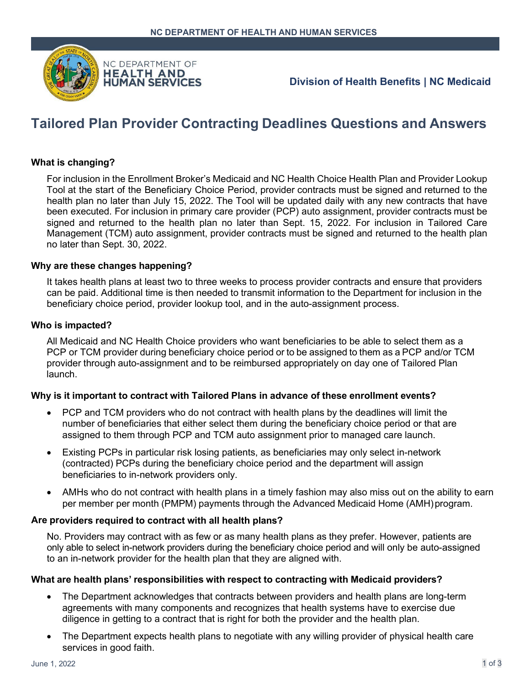

## **Division of Health Benefits | NC Medicaid**

# **Tailored Plan Provider Contracting Deadlines Questions and Answers**

## **What is changing?**

For inclusion in the Enrollment Broker's Medicaid and NC Health Choice Health Plan and Provider Lookup Tool at the start of the Beneficiary Choice Period, provider contracts must be signed and returned to the health plan no later than July 15, 2022. The Tool will be updated daily with any new contracts that have been executed. For inclusion in primary care provider (PCP) auto assignment, provider contracts must be signed and returned to the health plan no later than Sept. 15, 2022. For inclusion in Tailored Care Management (TCM) auto assignment, provider contracts must be signed and returned to the health plan no later than Sept. 30, 2022.

#### **Why are these changes happening?**

It takes health plans at least two to three weeks to process provider contracts and ensure that providers can be paid. Additional time is then needed to transmit information to the Department for inclusion in the beneficiary choice period, provider lookup tool, and in the auto-assignment process.

#### **Who is impacted?**

All Medicaid and NC Health Choice providers who want beneficiaries to be able to select them as a PCP or TCM provider during beneficiary choice period or to be assigned to them as a PCP and/or TCM provider through auto-assignment and to be reimbursed appropriately on day one of Tailored Plan launch.

## **Why is it important to contract with Tailored Plans in advance of these enrollment events?**

- PCP and TCM providers who do not contract with health plans by the deadlines will limit the number of beneficiaries that either select them during the beneficiary choice period or that are assigned to them through PCP and TCM auto assignment prior to managed care launch.
- Existing PCPs in particular risk losing patients, as beneficiaries may only select in-network (contracted) PCPs during the beneficiary choice period and the department will assign beneficiaries to in-network providers only.
- AMHs who do not contract with health plans in a timely fashion may also miss out on the ability to earn per member per month (PMPM) payments through the Advanced Medicaid Home (AMH)program.

#### **Are providers required to contract with all health plans?**

No. Providers may contract with as few or as many health plans as they prefer. However, patients are only able to select in-network providers during the beneficiary choice period and will only be auto-assigned to an in-network provider for the health plan that they are aligned with.

#### **What are health plans' responsibilities with respect to contracting with Medicaid providers?**

- The Department acknowledges that contracts between providers and health plans are long-term agreements with many components and recognizes that health systems have to exercise due diligence in getting to a contract that is right for both the provider and the health plan.
- The Department expects health plans to negotiate with any willing provider of physical health care services in good faith.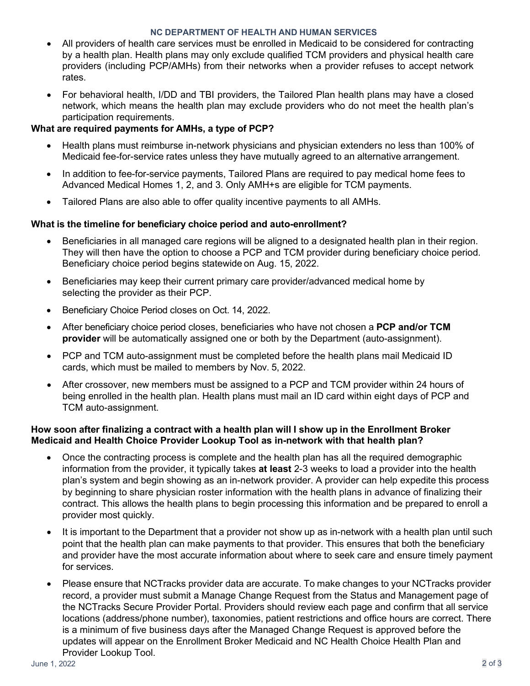#### **NC DEPARTMENT OF HEALTH AND HUMAN SERVICES**

- All providers of health care services must be enrolled in Medicaid to be considered for contracting by a health plan. Health plans may only exclude qualified TCM providers and physical health care providers (including PCP/AMHs) from their networks when a provider refuses to accept network rates.
- For behavioral health, I/DD and TBI providers, the Tailored Plan health plans may have a closed network, which means the health plan may exclude providers who do not meet the health plan's participation requirements.

## **What are required payments for AMHs, a type of PCP?**

- Health plans must reimburse in-network physicians and physician extenders no less than 100% of Medicaid fee-for-service rates unless they have mutually agreed to an alternative arrangement.
- In addition to fee-for-service payments, Tailored Plans are required to pay medical home fees to Advanced Medical Homes 1, 2, and 3. Only AMH+s are eligible for TCM payments.
- Tailored Plans are also able to offer quality incentive payments to all AMHs.

## **What is the timeline for beneficiary choice period and auto-enrollment?**

- Beneficiaries in all managed care regions will be aligned to a designated health plan in their region. They will then have the option to choose a PCP and TCM provider during beneficiary choice period. Beneficiary choice period begins statewide on Aug. 15, 2022.
- Beneficiaries may keep their current primary care provider/advanced medical home by selecting the provider as their PCP.
- Beneficiary Choice Period closes on Oct. 14, 2022.
- After beneficiary choice period closes, beneficiaries who have not chosen a **PCP and/or TCM provider** will be automatically assigned one or both by the Department (auto-assignment).
- PCP and TCM auto-assignment must be completed before the health plans mail Medicaid ID cards, which must be mailed to members by Nov. 5, 2022.
- After crossover, new members must be assigned to a PCP and TCM provider within 24 hours of being enrolled in the health plan. Health plans must mail an ID card within eight days of PCP and TCM auto-assignment.

## **How soon after finalizing a contract with a health plan will I show up in the Enrollment Broker Medicaid and Health Choice Provider Lookup Tool as in-network with that health plan?**

- Once the contracting process is complete and the health plan has all the required demographic information from the provider, it typically takes **at least** 2-3 weeks to load a provider into the health plan's system and begin showing as an in-network provider. A provider can help expedite this process by beginning to share physician roster information with the health plans in advance of finalizing their contract. This allows the health plans to begin processing this information and be prepared to enroll a provider most quickly.
- It is important to the Department that a provider not show up as in-network with a health plan until such point that the health plan can make payments to that provider. This ensures that both the beneficiary and provider have the most accurate information about where to seek care and ensure timely payment for services.
- Please ensure that NCTracks provider data are accurate. To make changes to your NCTracks provider record, a provider must submit a Manage Change Request from the Status and Management page of the NCTracks Secure Provider Portal. Providers should review each page and confirm that all service locations (address/phone number), taxonomies, patient restrictions and office hours are correct. There is a minimum of five business days after the Managed Change Request is approved before the updates will appear on the Enrollment Broker Medicaid and NC Health Choice Health Plan and Provider Lookup Tool.